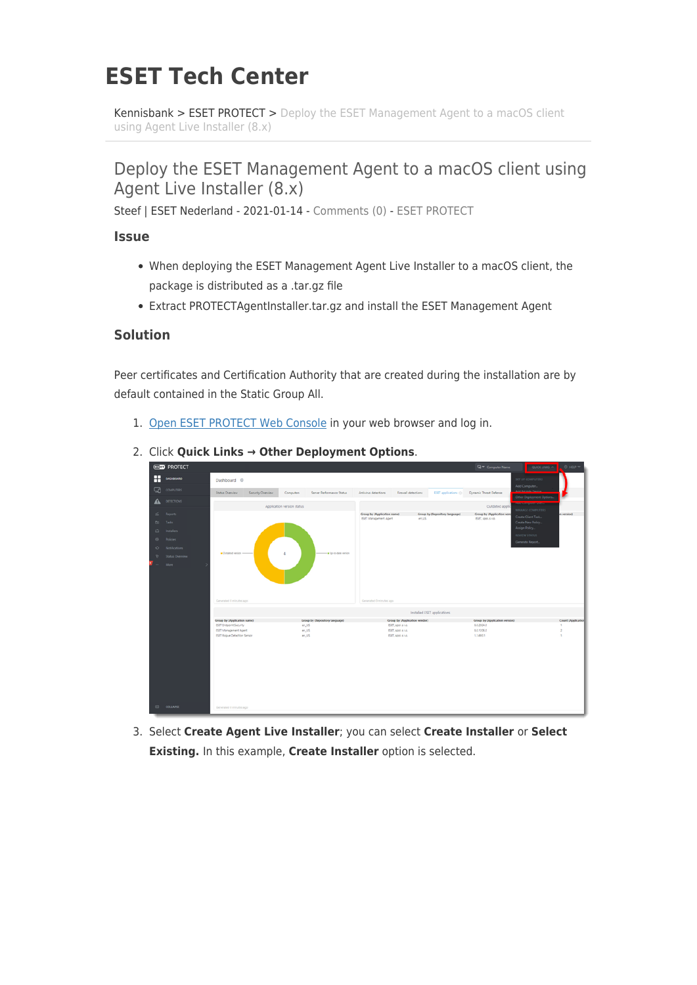## **ESET Tech Center**

[Kennisbank](https://techcenter.eset.nl/nl/kb) > [ESET PROTECT](https://techcenter.eset.nl/nl/kb/eset-protect) > [Deploy the ESET Management Agent to a macOS client](https://techcenter.eset.nl/nl/kb/articles/deploy-the-eset-management-agent-to-a-macos-client-using-agent-live-installer-8-x) [using Agent Live Installer \(8.x\)](https://techcenter.eset.nl/nl/kb/articles/deploy-the-eset-management-agent-to-a-macos-client-using-agent-live-installer-8-x)

## Deploy the ESET Management Agent to a macOS client using Agent Live Installer (8.x)

Steef | ESET Nederland - 2021-01-14 - [Comments \(0\)](#page--1-0) - [ESET PROTECT](https://techcenter.eset.nl/nl/kb/eset-protect)

**Issue**

- When deploying the ESET Management Agent Live Installer to a macOS client, the package is distributed as a .tar.gz file
- Extract PROTECTAgentInstaller.tar.gz and install the ESET Management Agent

## **Solution**

Peer certificates and Certification Authority that are created during the installation are by default contained in the Static Group All.

1. [Open ESET PROTECT Web Console](https://techcenter.eset.nl/en/kb/articles/open-the-eset-protect-or-eset-protect-cloud-web-console) in your web browser and log in.

|    | <b>CSDD</b> PROTECT |                                                       |                            |                                |                             |                                                     |                                | <b>Q</b> <sup>w</sup> Computer Name          | $QUCK$ LINIS $A$                                | O HELP TT                           |
|----|---------------------|-------------------------------------------------------|----------------------------|--------------------------------|-----------------------------|-----------------------------------------------------|--------------------------------|----------------------------------------------|-------------------------------------------------|-------------------------------------|
| H  | <b>DASHBOARD</b>    | Dashboard ©                                           |                            |                                |                             |                                                     |                                |                                              | SET UP COMPUTERS<br>Add Computer                |                                     |
| ロ  | <b>COMPUTERS</b>    | Security Overview<br>Status Overview                  | Computers                  | Server Performance Status      | Antivirus detections        | Firewall detections                                 | <b>ESET</b> applications (2)   | Dynamic Threat Defense                       | ومقصاة وتنخصه فالحق<br>Other Deployment Options |                                     |
|    | <b>DETECTIONS</b>   |                                                       | Application version status |                                |                             |                                                     |                                | Outdated appli                               |                                                 |                                     |
| s. | Reports             |                                                       |                            |                                | Group by (Application name) |                                                     | Group by (Repository language) | Group by (Application vend                   | MANAGE COMPUTERS<br>Create Client Task          | (noiava no                          |
|    | <b>CO</b> Tasks     |                                                       |                            |                                | ESET Management Agent       | en US                                               |                                | ESET, spol, s r.o.                           | Create New Policy                               |                                     |
| 户  | Installers          |                                                       |                            |                                |                             |                                                     |                                |                                              | Assign Policy                                   |                                     |
|    | @ Policies          |                                                       |                            |                                |                             |                                                     |                                |                                              | REVIEW STATUS<br>Generate Report                |                                     |
| o  | Notifications       |                                                       |                            |                                |                             |                                                     |                                |                                              |                                                 |                                     |
|    | Status Overview     | Outdated version                                      |                            | - Up-to-data version           |                             |                                                     |                                |                                              |                                                 |                                     |
|    | More                |                                                       |                            |                                |                             |                                                     |                                |                                              |                                                 |                                     |
|    |                     | Generated 0 minutes ago                               |                            |                                | Generated 0 minutes ago     |                                                     |                                |                                              |                                                 |                                     |
|    |                     |                                                       |                            |                                |                             |                                                     | Installed ESET applications    |                                              |                                                 |                                     |
|    |                     | Group by (Application name)<br>ESET Endpoint Security | en_US                      | Group by (Repository language) |                             | Group by (Application vendor)<br>ESET, spoi, s r.o. |                                | Group by (Application version)<br>8.0.2024.0 |                                                 | Count (Application<br>$\mathcal{L}$ |
|    |                     | ESET Management Agent                                 | $en_iUS$                   |                                |                             | ESET, spol. s n.o.                                  |                                | 8.0.1206.0                                   |                                                 | $\overline{2}$                      |
|    |                     | ESET Rogue Detection Sensor                           | en_US                      |                                |                             | ESET, spol. s no.                                   |                                | 1,1,693.1                                    |                                                 | $\mathbf{r}$                        |
|    |                     |                                                       |                            |                                |                             |                                                     |                                |                                              |                                                 |                                     |
|    | $E1$ COLLAPSE       | Generated 0 minutes ago                               |                            |                                |                             |                                                     |                                |                                              |                                                 |                                     |

2. Click **Quick Links → Other Deployment Options**.

3. Select **Create Agent Live Installer**; you can select **Create Installer** or **Select Existing.** In this example, **Create Installer** option is selected.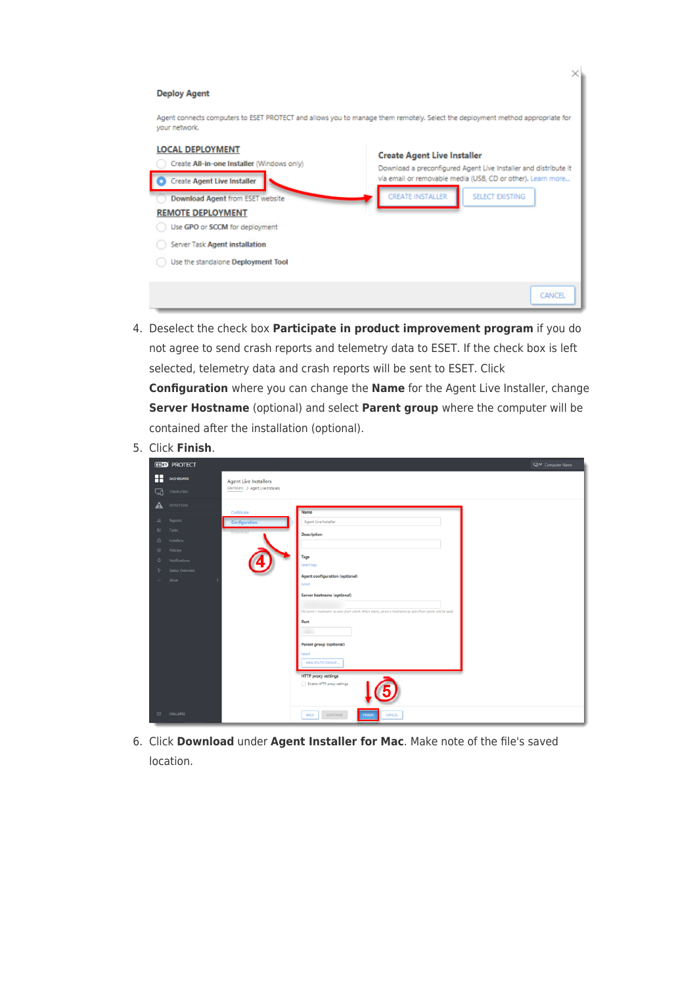| <b>Deploy Agent</b>                                                                                                                                                                                                                                                                   |                                                                                                                                                                                                                           |
|---------------------------------------------------------------------------------------------------------------------------------------------------------------------------------------------------------------------------------------------------------------------------------------|---------------------------------------------------------------------------------------------------------------------------------------------------------------------------------------------------------------------------|
| your network.                                                                                                                                                                                                                                                                         | Agent connects computers to ESET PROTECT and allows you to manage them remotely. Select the deployment method appropriate for                                                                                             |
| <b>LOCAL DEPLOYMENT</b><br>Create All-in-one Installer (Windows only)<br><b>Create Agent Live Installer</b><br>Download Agent from ESET website<br><b>REMOTE DEPLOYMENT</b><br>Use GPO or SCCM for deployment<br>Server Task Agent installation<br>Use the standalone Deployment Tool | <b>Create Agent Live Installer</b><br>Download a preconfigured Agent Live Installer and distribute it<br>via email or removable media (USB, CD or other). Learn more<br><b>CREATE INSTALLER</b><br><b>SELECT EXISTING</b> |
|                                                                                                                                                                                                                                                                                       | CANCEL                                                                                                                                                                                                                    |

- 4. Deselect the check box **Participate in product improvement program** if you do not agree to send crash reports and telemetry data to ESET. If the check box is left selected, telemetry data and crash reports will be sent to ESET. Click **Configuration** where you can change the **Name** for the Agent Live Installer, change **Server Hostname** (optional) and select **Parent group** where the computer will be contained after the installation (optional).
- 5. Click **Finish**.

|                                    | <b>GSOD</b> PROTECT            |                                   | Q <sup>or</sup> Computer Name                                                                              |
|------------------------------------|--------------------------------|-----------------------------------|------------------------------------------------------------------------------------------------------------|
| Æ                                  | <b>DASHBOARD</b>               | <b>Agent Live Installers</b>      |                                                                                                            |
| 급                                  | <b>COMPUTERS</b>               | Dashboard > Agent Live Installers |                                                                                                            |
|                                    | DETECTIONS                     | Certificate                       | Name                                                                                                       |
| s.                                 | <b>Reports</b>                 | Configuration                     | Agent Live Installer                                                                                       |
| DO                                 | Tasks                          |                                   | Description                                                                                                |
| $\qquad \qquad \Box$<br>$^{\circ}$ | Installers<br><b>Policies</b>  |                                   |                                                                                                            |
| o.                                 | Notifications                  |                                   | Tags<br>Select tags                                                                                        |
| v.<br><b>STATE</b>                 | <b>Status Overview</b><br>More |                                   | Agent configuration (optional)                                                                             |
|                                    |                                |                                   | Select                                                                                                     |
|                                    |                                |                                   | Server hostname (optional)                                                                                 |
|                                    |                                |                                   | Fill server's hostname as seen from client. When blank, server's hostname as seen from server will be used |
|                                    |                                |                                   | Port<br><b>Side</b>                                                                                        |
|                                    |                                |                                   | Parent group (optional)                                                                                    |
|                                    |                                |                                   | Select                                                                                                     |
|                                    |                                |                                   | NEW STATIC GROUP<br><b>HTTP</b> proxy settings                                                             |
|                                    |                                |                                   | Enable HTTP proxy settings                                                                                 |
|                                    |                                |                                   |                                                                                                            |
|                                    | EI COLLAPSE                    |                                   | <b>BACK</b><br>CONTINUE<br><b>CANCEL</b><br><b>FINISH</b>                                                  |

6. Click **Download** under **Agent Installer for Mac**. Make note of the file's saved location.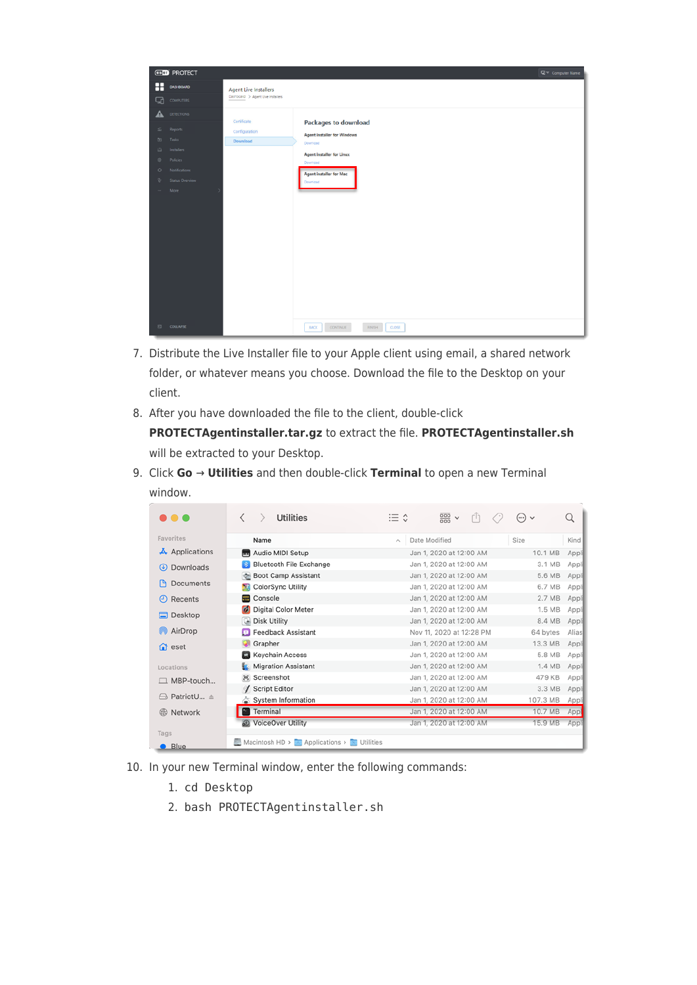|                                                                                        | <b>GSOD</b> PROTECT                                                                           | □ Computer Name                                                                                                                                                                                   |  |
|----------------------------------------------------------------------------------------|-----------------------------------------------------------------------------------------------|---------------------------------------------------------------------------------------------------------------------------------------------------------------------------------------------------|--|
| ⊞                                                                                      | DASHBOARD                                                                                     | <b>Agent Live Installers</b>                                                                                                                                                                      |  |
| ⊡                                                                                      | <b>COMPUTERS</b>                                                                              | Dashboard > Agent Live Installers                                                                                                                                                                 |  |
| A                                                                                      | <b>DETECTIONS</b>                                                                             | Certificate                                                                                                                                                                                       |  |
| s.<br>$\mathbb{D}$<br>$\qquad \qquad \Box$<br>$\circledcirc$<br>$\circ$<br>v<br>$\sim$ | Reports<br>Tasks<br>Installers<br>Policies<br>Notifications<br><b>Status Overview</b><br>More | <b>Packages to download</b><br>Configuration<br><b>Agent installer for Windows</b><br>Download<br>Download<br>Agent installer for Linux<br>Download<br><b>Agent installer for Mac</b><br>Download |  |
| $\boxdot$                                                                              | COLLAPSE                                                                                      | <b>BACK</b><br>CONTINUE<br><b>FINISH</b><br>CLOSE                                                                                                                                                 |  |
|                                                                                        |                                                                                               |                                                                                                                                                                                                   |  |

- 7. Distribute the Live Installer file to your Apple client using email, a shared network folder, or whatever means you choose. Download the file to the Desktop on your client.
- 8. After you have downloaded the file to the client, double-click **PROTECTAgentinstaller.tar.gz** to extract the file. **PROTECTAgentinstaller.sh** will be extracted to your Desktop.

| 9. Click $Go \rightarrow$ Utilities and then double-click Terminal to open a new Terminal |  |  |  |
|-------------------------------------------------------------------------------------------|--|--|--|
| window.                                                                                   |  |  |  |

| .                           | <b>Utilities</b><br>✓                      | $rac{1}{\sqrt{1000}}$ $\vee$<br>≌ ≎<br>rΠ | Q<br>$(\cdots) \vee$ |
|-----------------------------|--------------------------------------------|-------------------------------------------|----------------------|
|                             |                                            |                                           |                      |
| Favorites                   | Name                                       | Date Modified<br>$\mathcal{N}_\mathrm{L}$ | Size<br>Kind         |
| $\overline{A}$ Applications | MI Audio MIDI Setup                        | Jan 1, 2020 at 12:00 AM                   | 10.1 MB<br>Appli     |
| Downloads<br>$\circledast$  | <b>Bluetooth File Exchange</b>             | Jan 1, 2020 at 12:00 AM                   | 3.1 MB<br>Appli      |
|                             | Boot Camp Assistant                        | Jan 1, 2020 at 12:00 AM                   | 5.6 MB<br>Appli      |
| <b>Documents</b>            | <b>ColorSync Utility</b>                   | Jan 1, 2020 at 12:00 AM                   | 6.7 MB<br>Appli      |
| Recents<br>Θ                | <b>Console</b>                             | Jan 1, 2020 at 12:00 AM                   | 2.7 MB<br>Appli      |
| Desktop                     | Digital Color Meter                        | Jan 1, 2020 at 12:00 AM                   | 1.5 MB<br>Appli      |
|                             | <b>Disk Utility</b>                        | Jan 1, 2020 at 12:00 AM                   | 8.4 MB<br>Appl       |
| AirDrop<br>ത                | <b>D</b> Feedback Assistant                | Nov 11, 2020 at 12:28 PM                  | 64 bytes<br>Alias    |
| $\bigcap$ eset              | Grapher                                    | Jan 1, 2020 at 12:00 AM                   | 13.3 MB<br>Appli     |
|                             | <b>Keychain Access</b>                     | Jan 1, 2020 at 12:00 AM                   | 5.8 MB<br>Appli      |
| Locations                   | <b>Migration Assistant</b>                 | Jan 1, 2020 at 12:00 AM                   | 1.4 MB<br>Appli      |
| $\Box$ MBP-touch            | Screenshot                                 | Jan 1, 2020 at 12:00 AM                   | 479 KB<br>Appli      |
|                             | <b>Script Editor</b>                       | Jan 1, 2020 at 12:00 AM                   | 3.3 MB<br>Appli      |
| PatriotU ≜<br>$\mapsto$     | System Information                         | Jan 1, 2020 at 12:00 AM                   | 107.3 MB<br>Appli    |
| Network<br>GB               | <b>Terminal</b>                            | Jan 1, 2020 at 12:00 AM                   | 10.7 MB<br>Appl      |
|                             | <b>30</b> VoiceOver Utility                | Jan 1, 2020 at 12:00 AM                   | 15.9 MB<br>Appli     |
| Tags                        |                                            |                                           |                      |
| <b>Blue</b>                 | Macintosh HD > Applications > NU Utilities |                                           |                      |

- 10. In your new Terminal window, enter the following commands:
	- 1. cd Desktop
	- 2. bash PROTECTAgentinstaller.sh